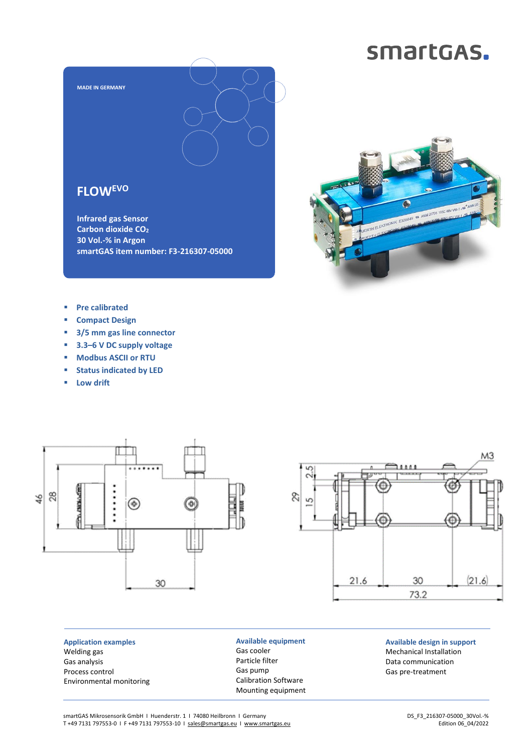## smartGAS.



**smartGAS item number: F3-216307-05000**



- **Pre calibrated**
- **Compact Design**
- **3/5 mm gas line connector**
- **3.3–6 V DC supply voltage**
- **Modbus ASCII or RTU**
- **Status indicated by LED**
- **Low drift**



 $2.5$ 70000 Δ 8 S ¢ 30  $(21.6)$ 21.6 73.2

**Application examples** Welding gas Gas analysis Process control Environmental monitoring **Available equipment** Gas cooler Particle filter Gas pump Calibration Software Mounting equipment

**Available design in support** Mechanical Installation Data communication Gas pre-treatment

M3